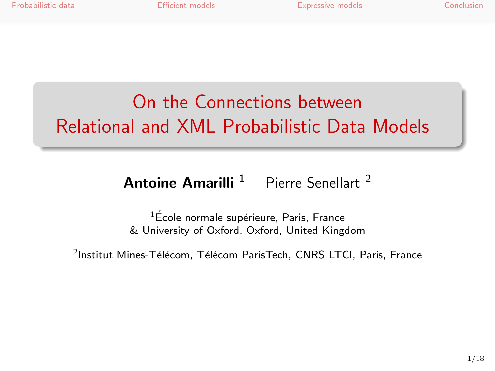# On the Connections between Relational and XML Probabilistic Data Models

#### **Antoine Amarilli**  $1$  Pierre Senellart<sup>2</sup>

 $1$ École normale supérieure, Paris, France & University of Oxford, Oxford, United Kingdom

 $^{2}$ Institut Mines-Télécom, Télécom ParisTech, CNRS LTCI, Paris, France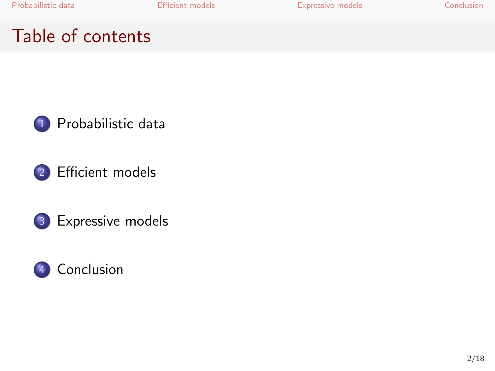[Probabilistic data](#page-2-0) **[Efficient models](#page-5-0)** [Expressive models](#page-12-0) [Conclusion](#page-16-0)

## Table of contents







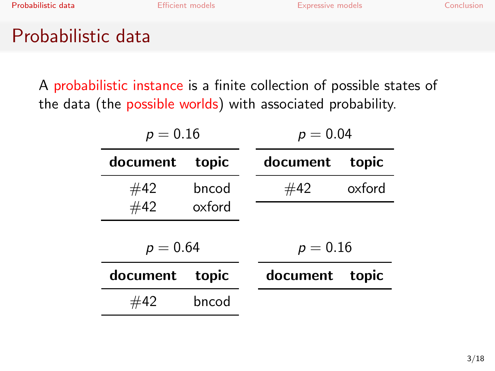<span id="page-2-0"></span>

## Probabilistic data

A probabilistic instance is a finite collection of possible states of the data (the possible worlds) with associated probability.

| $p = 0.16$ |        | $p = 0.04$ |        |  |
|------------|--------|------------|--------|--|
| document   | topic  | document   | topic  |  |
| #42        | bncod  | #42        | oxford |  |
| #42        | oxford |            |        |  |
| $p = 0.64$ |        | $p = 0.16$ |        |  |
| document   | topic  | document   | topic  |  |
| #42        | bncod  |            |        |  |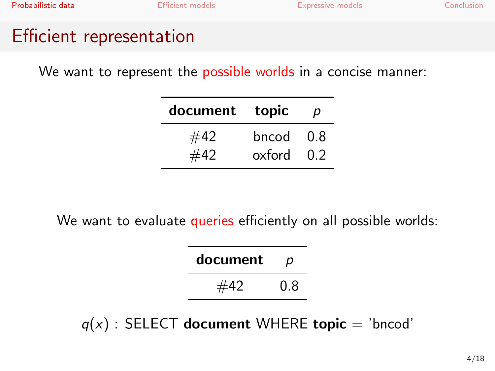# Efficient representation

We want to represent the **possible worlds** in a concise manner:

| document | topic  | р    |
|----------|--------|------|
| #42      | bncod  | -0.8 |
| #42      | oxford | 0.2  |

We want to evaluate queries efficiently on all possible worlds:

| document | р   |  |  |
|----------|-----|--|--|
| #42      | 0.8 |  |  |

 $q(x)$ : SELECT document WHERE topic = 'bncod'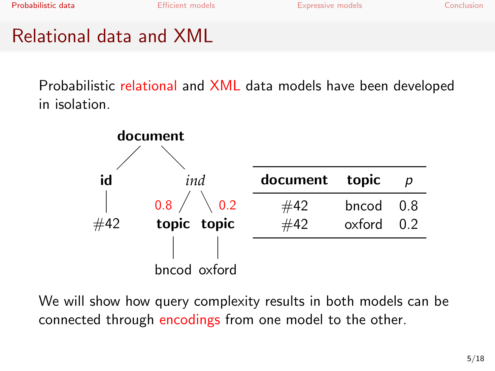# Relational data and XML

Probabilistic relational and XML data models have been developed in isolation.



We will show how query complexity results in both models can be connected through encodings from one model to the other.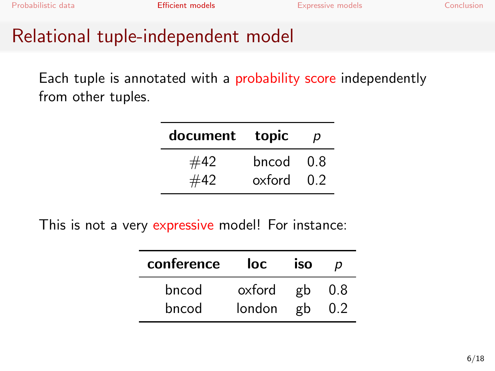# Relational tuple-independent model

Each tuple is annotated with a probability score independently from other tuples.

| document | topic  | p    |
|----------|--------|------|
| #42      | bncod  | -0.8 |
| #42      | oxford | 0.2  |

This is not a very expressive model! For instance:

<span id="page-5-0"></span>

| conference | loc    | iso |     |
|------------|--------|-----|-----|
| bncod      | oxford | _gb | 0.8 |
| bncod      | london | σh  |     |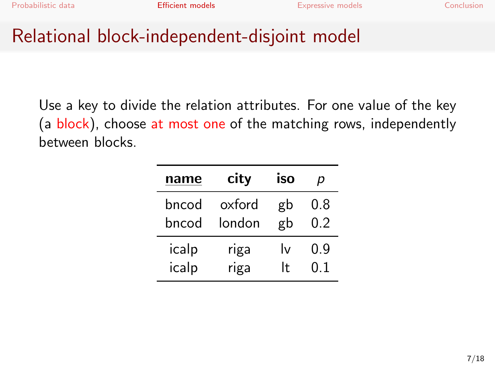### Relational block-independent-disjoint model

Use a key to divide the relation attributes. For one value of the key (a block), choose at most one of the matching rows, independently between blocks.

| name  | city   | iso | p   |  |
|-------|--------|-----|-----|--|
| bncod | oxford | gb  | 0.8 |  |
| bncod | london | gb  | 0.2 |  |
| icalp | riga   | l٧  | 0.9 |  |
| icalp | riga   | It  | ი 1 |  |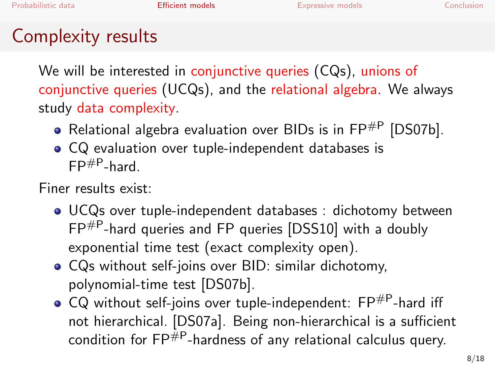# Complexity results

We will be interested in conjunctive queries (CQs), unions of conjunctive queries (UCQs), and the relational algebra. We always study data complexity.

- Relational algebra evaluation over BIDs is in  $\mathsf{FP}^{\#P}$  [\[DS07b\]](#page-18-0).
- CQ evaluation over tuple-independent databases is  $FP#P$ -hard.

Finer results exist:

- UCQs over tuple-independent databases : dichotomy between FP#P-hard queries and FP queries [\[DSS10\]](#page-18-1) with a doubly exponential time test (exact complexity open).
- CQs without self-joins over BID: similar dichotomy, polynomial-time test [\[DS07b\]](#page-18-0).
- $\bullet$  CQ without self-joins over tuple-independent:  $\mathsf{FP}^{\#P}$ -hard iff not hierarchical. [\[DS07a\]](#page-18-2). Being non-hierarchical is a sufficient condition for  $\text{FP}^{\#P}$ -hardness of any relational calculus query.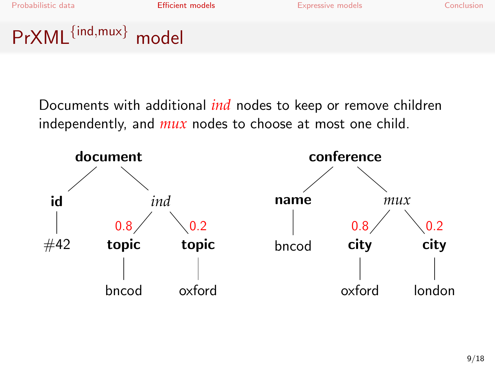# PrXML{ind,mux} model

Documents with additional *ind* nodes to keep or remove children independently, and *mux* nodes to choose at most one child.

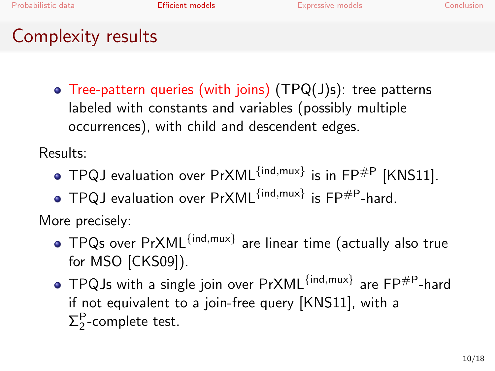# Complexity results

Tree-pattern queries (with joins) (TPQ(J)s): tree patterns labeled with constants and variables (possibly multiple occurrences), with child and descendent edges.

Results:

- TPQJ evaluation over  $PrXML^{ind,mux}$  is in  $FP^{\#P}$  [\[KNS11\]](#page-18-3).
- $TPQJ$  evaluation over  $PrXML^{ind,mux}$  is  $FP#P$ -hard.

More precisely:

- TPQs over PrXML<sup>{ind,mux}</sup> are linear time (actually also true for MSO [\[CKS09\]](#page-18-4)).
- TPQJs with a single join over PrXML{ind,mux} are FP#P-hard if not equivalent to a join-free query [\[KNS11\]](#page-18-3), with a  $\Sigma_2^{\mathsf{P}}$ -complete test.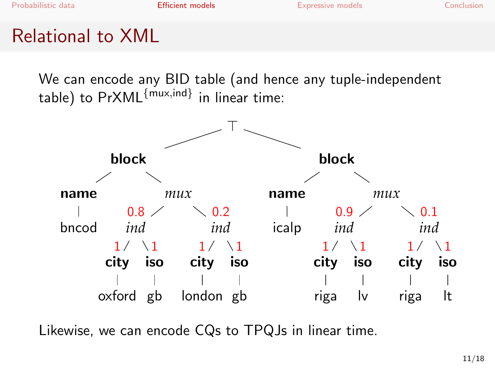# Relational to XML

We can encode any BID table (and hence any tuple-independent table) to PrXML $^{\{mu \u x, \text{ind}\}}$  in linear time:



Likewise, we can encode CQs to TPQJs in linear time.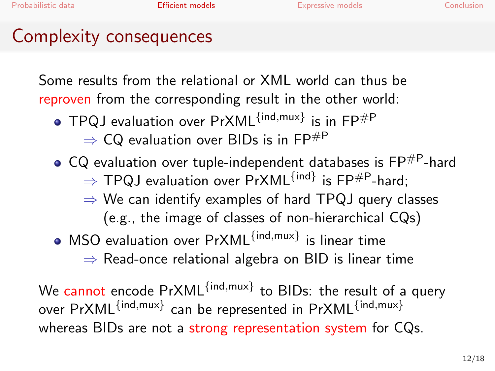### Complexity consequences

Some results from the relational or XML world can thus be reproven from the corresponding result in the other world:

- TPQJ evaluation over PrXML{ind,mux} is in FP#P
	- $\Rightarrow$  CQ evaluation over BIDs is in FP<sup>#P</sup>
- $\bullet$  CQ evaluation over tuple-independent databases is FP $^{\#P}$ -hard  $\Rightarrow$  TPQJ evaluation over PrXML $^{\{\mathsf{ind}\}}$  is FP $^{\text{\#P}}$ -hard;
	- $\Rightarrow$  We can identify examples of hard TPQJ query classes (e.g., the image of classes of non-hierarchical CQs)
- MSO evaluation over PrXML<sup>{ind,mux}</sup> is linear time

 $\Rightarrow$  Read-once relational algebra on BID is linear time

We cannot encode PrXML<sup>{ind,mux}</sup> to BIDs: the result of a query over PrXML $^{\{\textsf{ind},\textsf{mux}\}}$  can be represented in PrXML $^{\{\textsf{ind},\textsf{mux}\}}$ whereas BIDs are not a strong representation system for CQs.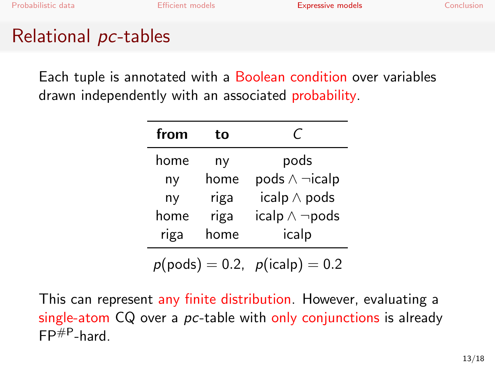# Relational pc-tables

Each tuple is annotated with a Boolean condition over variables drawn independently with an associated probability.

| from | tο   | C                         |  |  |
|------|------|---------------------------|--|--|
| home | ny   | pods                      |  |  |
| ny   | home | $pods \wedge \neg}$ icalp |  |  |
| ny   | riga | icalp $\wedge$ pods       |  |  |
| home | riga | icalp $\wedge \neg$ pods  |  |  |
| riga | home | icalp                     |  |  |

<span id="page-12-0"></span> $p(pods) = 0.2, p(icalp) = 0.2$ 

This can represent any finite distribution. However, evaluating a single-atom CQ over a *pc*-table with only conjunctions is already  $FP#P_{\text{hard}}$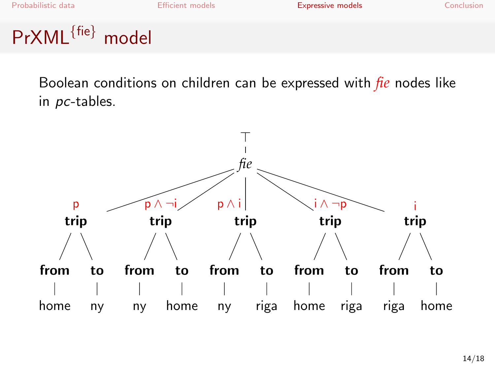# PrXML{fie} model

Boolean conditions on children can be expressed with *fie* nodes like in pc-tables.

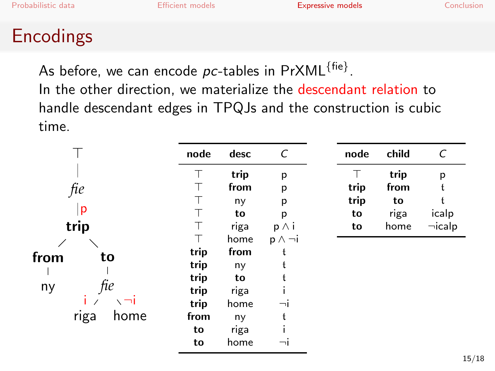## Encodings

As before, we can encode  $\mathit{pc}\text{-}$ tables in  $\mathsf{PrXML}^{\{\mathsf{fie}\}}$ . In the other direction, we materialize the descendant relation to handle descendant edges in TPQJs and the construction is cubic time.

|              | node | desc | C                 | node | child | C            |
|--------------|------|------|-------------------|------|-------|--------------|
|              | Τ    | trip | p                 |      | trip  | p            |
| fie          |      | from | p                 | trip | from  |              |
|              |      | ny   | p                 | trip | to    |              |
| p            |      | to   | p                 | to   | riga  | icalp        |
| trip         |      | riga | $p \wedge i$      | to   | home  | $\neg$ icalp |
|              |      | home | $p \wedge \neg i$ |      |       |              |
| from<br>to   | trip | from | ł                 |      |       |              |
|              | trip | ny   |                   |      |       |              |
|              | trip | to   |                   |      |       |              |
| fie<br>ny    | trip | riga |                   |      |       |              |
|              | trip | home | ٦I                |      |       |              |
| riga<br>home | from | ny   |                   |      |       |              |
|              | to   | riga |                   |      |       |              |
|              | to   | home | ⊣                 |      |       |              |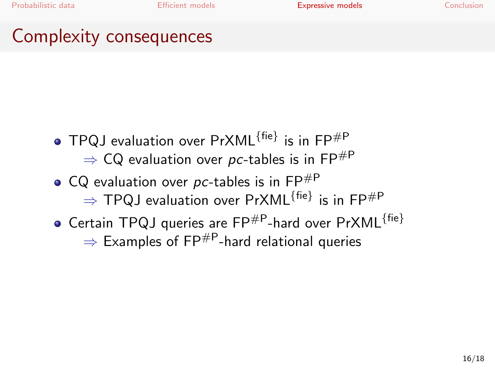# Complexity consequences

- TPQJ evaluation over  $PrXML^{\{fie\}}$  is in  $FP^{\#P}$  $\Rightarrow$  CQ evaluation over pc-tables is in FP<sup>#P</sup>
- CQ evaluation over pc-tables is in  $\mathsf{FP}^{\#P}$  $\Rightarrow$  TPQJ evaluation over PrXML $^{\{\sf fie\}}$  is in FP $^{\# \sf P}$  $\bullet$  Certain TPQJ queries are FP<sup>#P</sup>-hard over PrXML<sup>{fie}</sup>
	- $\Rightarrow$  Examples of FP<sup>#P</sup>-hard relational queries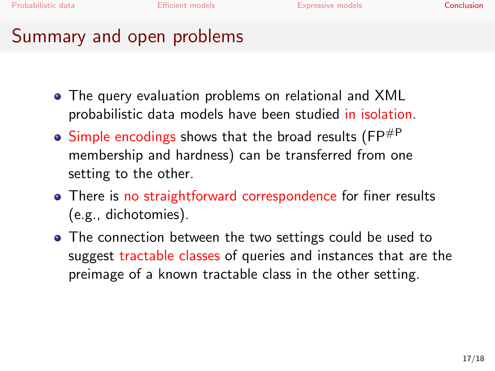## Summary and open problems

- The query evaluation problems on relational and XML probabilistic data models have been studied in isolation.
- $\bullet$  Simple encodings shows that the broad results (FP $^{#P}$ membership and hardness) can be transferred from one setting to the other.
- There is no straightforward correspondence for finer results (e.g., dichotomies).
- <span id="page-16-0"></span>• The connection between the two settings could be used to suggest tractable classes of queries and instances that are the preimage of a known tractable class in the other setting.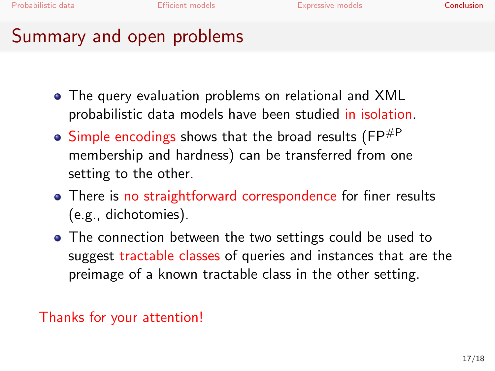## Summary and open problems

- The query evaluation problems on relational and XML probabilistic data models have been studied in isolation.
- $\bullet$  Simple encodings shows that the broad results (FP $^{#P}$ membership and hardness) can be transferred from one setting to the other.
- There is no straightforward correspondence for finer results (e.g., dichotomies).
- The connection between the two settings could be used to suggest tractable classes of queries and instances that are the preimage of a known tractable class in the other setting.

Thanks for your attention!